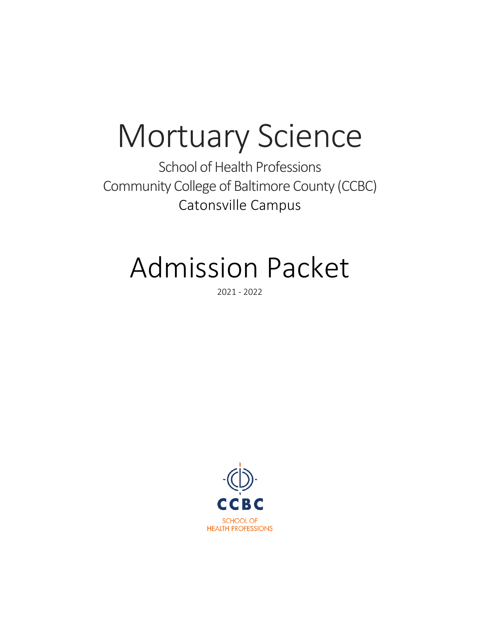## Mortuary Science

School of Health Professions Community College of Baltimore County (CCBC) Catonsville Campus

## Admission Packet

2021 - 2022

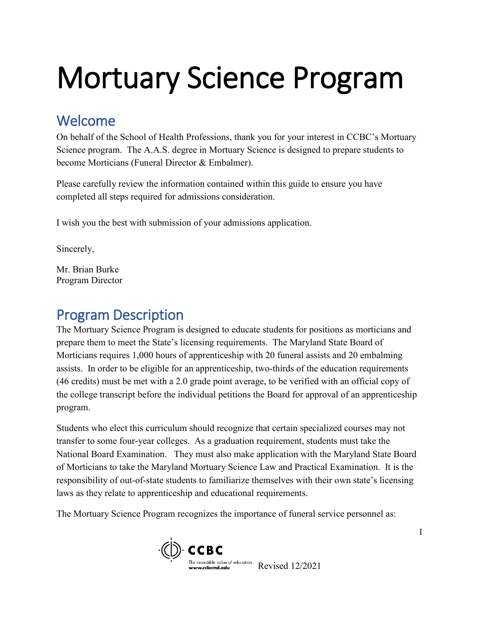# Mortuary Science Program

## Welcome

On behalf of the School of Health Professions, thank you for your interest in CCBC's Mortuary Science program. The A.A.S. degree in Mortuary Science is designed to prepare students to become Morticians (Funeral Director & Embalmer).

Please carefully review the information contained within this guide to ensure you have completed all steps required for admissions consideration.

I wish you the best with submission of your admissions application.

Sincerely,

Mr. Brian Burke Program Director

## Program Description

The Mortuary Science Program is designed to educate students for positions as morticians and prepare them to meet the State's licensing requirements. The Maryland State Board of Morticians requires 1,000 hours of apprenticeship with 20 funeral assists and 20 embalming assists. In order to be eligible for an apprenticeship, two-thirds of the education requirements (46 credits) must be met with a 2.0 grade point average, to be verified with an official copy of the college transcript before the individual petitions the Board for approval of an apprenticeship program.

Students who elect this curriculum should recognize that certain specialized courses may not transfer to some four-year colleges. As a graduation requirement, students must take the National Board Examination. They must also make application with the Maryland State Board of Morticians to take the Maryland Mortuary Science Law and Practical Examination. It is the responsibility of out-of-state students to familiarize themselves with their own state's licensing laws as they relate to apprenticeship and educational requirements.

The Mortuary Science Program recognizes the importance of funeral service personnel as:

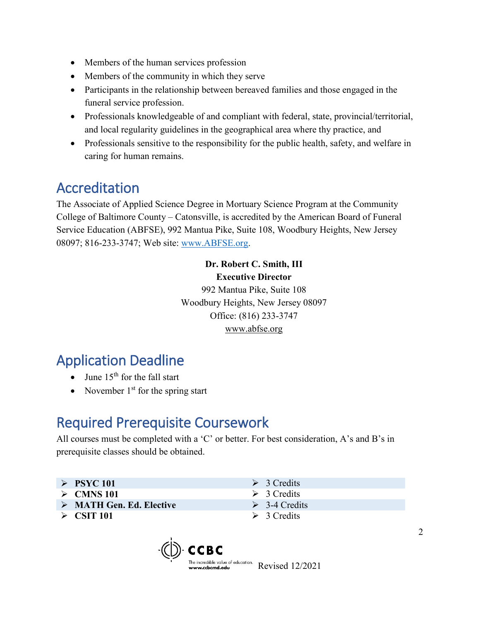- Members of the human services profession
- Members of the community in which they serve
- Participants in the relationship between bereaved families and those engaged in the funeral service profession.
- Professionals knowledgeable of and compliant with federal, state, provincial/territorial, and local regularity guidelines in the geographical area where thy practice, and
- Professionals sensitive to the responsibility for the public health, safety, and welfare in caring for human remains.

## Accreditation

The Associate of Applied Science Degree in Mortuary Science Program at the Community College of Baltimore County – Catonsville, is accredited by the American Board of Funeral Service Education (ABFSE), 992 Mantua Pike, Suite 108, Woodbury Heights, New Jersey 08097; 816-233-3747; Web site: [www.ABFSE.org.](http://www.abfse.org/)

> **Dr. Robert C. Smith, III Executive Director** 992 Mantua Pike, Suite 108 Woodbury Heights, New Jersey 08097 Office: (816) 233-3747 [www.abfse.org](http://www.abfse.org/)

## Application Deadline

- June  $15<sup>th</sup>$  for the fall start
- November  $1<sup>st</sup>$  for the spring start

## Required Prerequisite Coursework

All courses must be completed with a 'C' or better. For best consideration, A's and B's in prerequisite classes should be obtained.

- $\triangleright$  **PSYC 101**  $\triangleright$  3 Credits
- $\geq$  CMNS 101  $\geq$  3 Credits
- **MATH Gen. Ed. Elective**  $\geq$  3-4 Credits
- $\geq$  **CSIT 101**  $\geq$  3 Credits
- 
- 
- 
- 

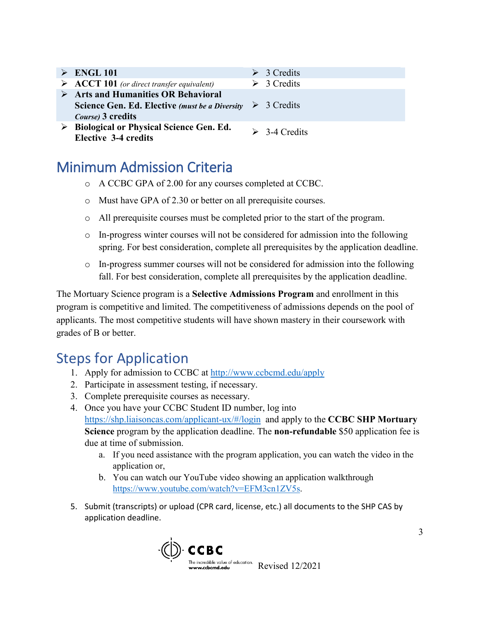- **ENGL 101** <br> **ENGL 101** (or direct transfer equivalent) 2 3 Credits  $\triangleright$  **ACCT 101** (or direct transfer equivalent) **Arts and Humanities OR Behavioral Science Gen. Ed. Elective** *(must be a Diversity*  3 Credits *Course)* **3 credits Biological or Physical Science Gen. Ed.** 
	- **Elective 3-4 credits**<br>**Elective 3-4 credits**

## Minimum Admission Criteria

- o A CCBC GPA of 2.00 for any courses completed at CCBC.
- o Must have GPA of 2.30 or better on all prerequisite courses.
- o All prerequisite courses must be completed prior to the start of the program.
- $\circ$  In-progress winter courses will not be considered for admission into the following spring. For best consideration, complete all prerequisites by the application deadline.
- o In-progress summer courses will not be considered for admission into the following fall. For best consideration, complete all prerequisites by the application deadline.

The Mortuary Science program is a **Selective Admissions Program** and enrollment in this program is competitive and limited. The competitiveness of admissions depends on the pool of applicants. The most competitive students will have shown mastery in their coursework with grades of B or better.

## Steps for Application

- 1. Apply for admission to CCBC at<http://www.ccbcmd.edu/apply>
- 2. Participate in assessment testing, if necessary.
- 3. Complete prerequisite courses as necessary.
- 4. Once you have your CCBC Student ID number, log into <https://shp.liaisoncas.com/applicant-ux/#/login>and apply to the **CCBC SHP Mortuary Science** program by the application deadline. The **non-refundable** \$50 application fee is due at time of submission.
	- a. If you need assistance with the program application, you can watch the video in the application or,
	- b. You can watch our YouTube video showing an application walkthrough [https://www.youtube.com/watch?v=EFM3cn1ZV5s.](https://www.youtube.com/watch?v=EFM3cn1ZV5s)
- 5. Submit (transcripts) or upload (CPR card, license, etc.) all documents to the SHP CAS by application deadline.

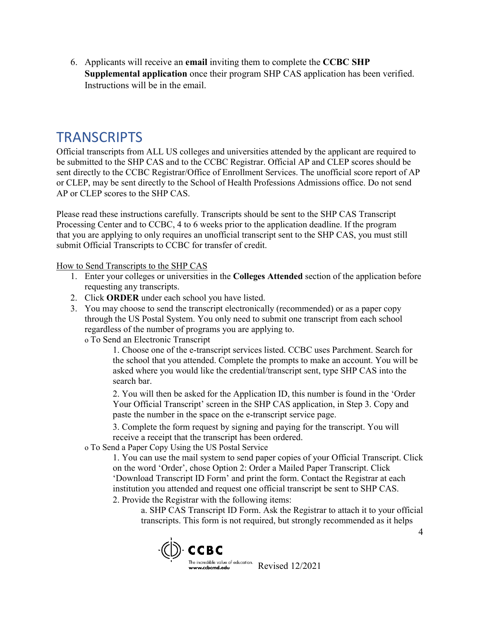6. Applicants will receive an **email** inviting them to complete the **CCBC SHP Supplemental application** once their program SHP CAS application has been verified. Instructions will be in the email.

### **TRANSCRIPTS**

Official transcripts from ALL US colleges and universities attended by the applicant are required to be submitted to the SHP CAS and to the CCBC Registrar. Official AP and CLEP scores should be sent directly to the CCBC Registrar/Office of Enrollment Services. The unofficial score report of AP or CLEP, may be sent directly to the School of Health Professions Admissions office. Do not send AP or CLEP scores to the SHP CAS.

Please read these instructions carefully. Transcripts should be sent to the SHP CAS Transcript Processing Center and to CCBC, 4 to 6 weeks prior to the application deadline. If the program that you are applying to only requires an unofficial transcript sent to the SHP CAS, you must still submit Official Transcripts to CCBC for transfer of credit.

#### How to Send Transcripts to the SHP CAS

- 1. Enter your colleges or universities in the **Colleges Attended** section of the application before requesting any transcripts.
- 2. Click **ORDER** under each school you have listed.
- 3. You may choose to send the transcript electronically (recommended) or as a paper copy through the US Postal System. You only need to submit one transcript from each school regardless of the number of programs you are applying to.
	- o To Send an Electronic Transcript

1. Choose one of the e-transcript services listed. CCBC uses Parchment. Search for the school that you attended. Complete the prompts to make an account. You will be asked where you would like the credential/transcript sent, type SHP CAS into the search bar.

2. You will then be asked for the Application ID, this number is found in the 'Order Your Official Transcript' screen in the SHP CAS application, in Step 3. Copy and paste the number in the space on the e-transcript service page.

3. Complete the form request by signing and paying for the transcript. You will receive a receipt that the transcript has been ordered.

o To Send a Paper Copy Using the US Postal Service

1. You can use the mail system to send paper copies of your Official Transcript. Click on the word 'Order', chose Option 2: Order a Mailed Paper Transcript. Click 'Download Transcript ID Form' and print the form. Contact the Registrar at each institution you attended and request one official transcript be sent to SHP CAS.

2. Provide the Registrar with the following items:

a. SHP CAS Transcript ID Form. Ask the Registrar to attach it to your official transcripts. This form is not required, but strongly recommended as it helps

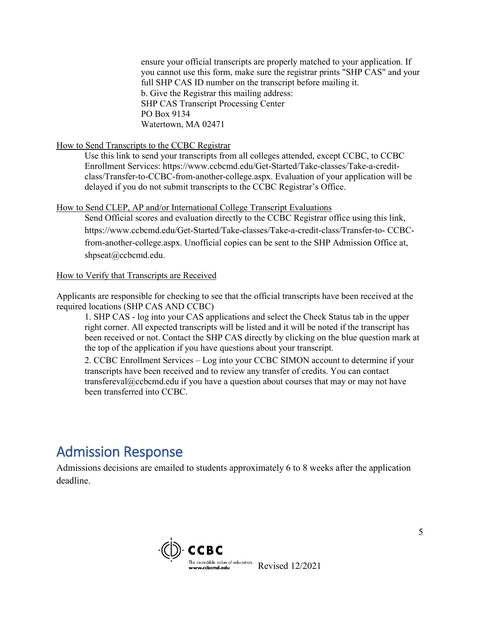ensure your official transcripts are properly matched to your application. If you cannot use this form, make sure the registrar prints "SHP CAS" and your full SHP CAS ID number on the transcript before mailing it. b. Give the Registrar this mailing address: SHP CAS Transcript Processing Center PO Box 9134 Watertown, MA 02471

#### How to Send Transcripts to the CCBC Registrar

Use this link to send your transcripts from all colleges attended, except CCBC, to CCBC Enrollment Services: https://www.ccbcmd.edu/Get-Started/Take-classes/Take-a-creditclass/Transfer-to-CCBC-from-another-college.aspx. Evaluation of your application will be delayed if you do not submit transcripts to the CCBC Registrar's Office.

#### How to Send CLEP, AP and/or International College Transcript Evaluations

Send Official scores and evaluation directly to the CCBC Registrar office using this link, https://www.ccbcmd.edu/Get-Started/Take-classes/Take-a-credit-class/Transfer-to- CCBCfrom-another-college.aspx. Unofficial copies can be sent to the SHP Admission Office at, shpseat@ccbcmd.edu.

#### How to Verify that Transcripts are Received

Applicants are responsible for checking to see that the official transcripts have been received at the required locations (SHP CAS AND CCBC)

1. SHP CAS - log into your CAS applications and select the Check Status tab in the upper right corner. All expected transcripts will be listed and it will be noted if the transcript has been received or not. Contact the SHP CAS directly by clicking on the blue question mark at the top of the application if you have questions about your transcript.

2. CCBC Enrollment Services – Log into your CCBC SIMON account to determine if your transcripts have been received and to review any transfer of credits. You can contact transfereval@ccbcmd.edu if you have a question about courses that may or may not have been transferred into CCBC.

### Admission Response

Admissions decisions are emailed to students approximately 6 to 8 weeks after the application deadline.

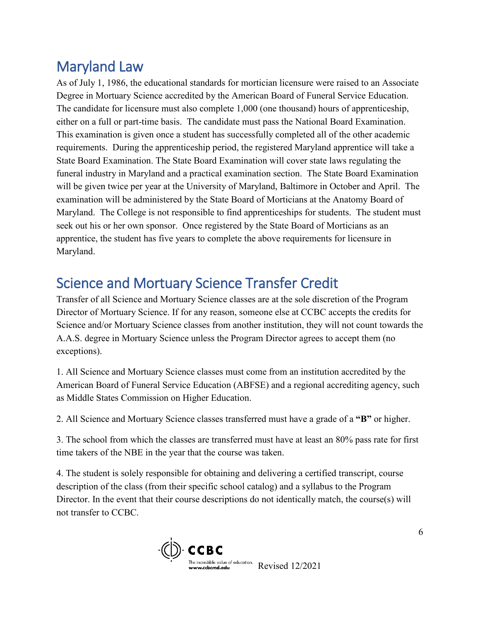## Maryland Law

As of July 1, 1986, the educational standards for mortician licensure were raised to an Associate Degree in Mortuary Science accredited by the American Board of Funeral Service Education. The candidate for licensure must also complete 1,000 (one thousand) hours of apprenticeship, either on a full or part-time basis. The candidate must pass the National Board Examination. This examination is given once a student has successfully completed all of the other academic requirements. During the apprenticeship period, the registered Maryland apprentice will take a State Board Examination. The State Board Examination will cover state laws regulating the funeral industry in Maryland and a practical examination section. The State Board Examination will be given twice per year at the University of Maryland, Baltimore in October and April. The examination will be administered by the State Board of Morticians at the Anatomy Board of Maryland. The College is not responsible to find apprenticeships for students. The student must seek out his or her own sponsor. Once registered by the State Board of Morticians as an apprentice, the student has five years to complete the above requirements for licensure in Maryland.

## Science and Mortuary Science Transfer Credit

Transfer of all Science and Mortuary Science classes are at the sole discretion of the Program Director of Mortuary Science. If for any reason, someone else at CCBC accepts the credits for Science and/or Mortuary Science classes from another institution, they will not count towards the A.A.S. degree in Mortuary Science unless the Program Director agrees to accept them (no exceptions).

1. All Science and Mortuary Science classes must come from an institution accredited by the American Board of Funeral Service Education (ABFSE) and a regional accrediting agency, such as Middle States Commission on Higher Education.

2. All Science and Mortuary Science classes transferred must have a grade of a **"B"** or higher.

3. The school from which the classes are transferred must have at least an 80% pass rate for first time takers of the NBE in the year that the course was taken.

4. The student is solely responsible for obtaining and delivering a certified transcript, course description of the class (from their specific school catalog) and a syllabus to the Program Director. In the event that their course descriptions do not identically match, the course(s) will not transfer to CCBC.

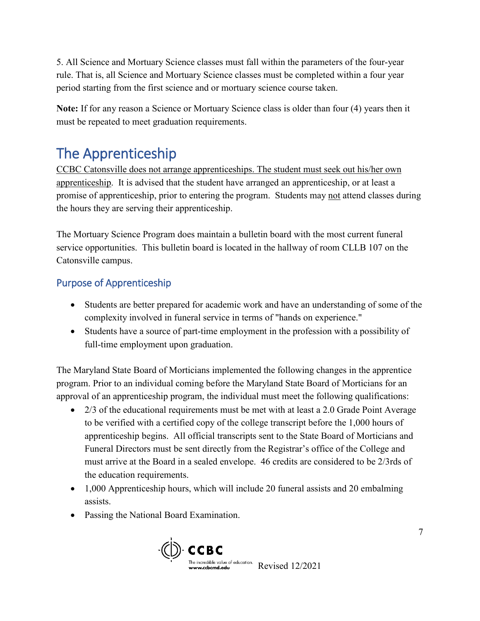5. All Science and Mortuary Science classes must fall within the parameters of the four-year rule. That is, all Science and Mortuary Science classes must be completed within a four year period starting from the first science and or mortuary science course taken.

**Note:** If for any reason a Science or Mortuary Science class is older than four (4) years then it must be repeated to meet graduation requirements.

## The Apprenticeship

CCBC Catonsville does not arrange apprenticeships. The student must seek out his/her own apprenticeship. It is advised that the student have arranged an apprenticeship, or at least a promise of apprenticeship, prior to entering the program. Students may not attend classes during the hours they are serving their apprenticeship.

The Mortuary Science Program does maintain a bulletin board with the most current funeral service opportunities. This bulletin board is located in the hallway of room CLLB 107 on the Catonsville campus.

### Purpose of Apprenticeship

- Students are better prepared for academic work and have an understanding of some of the complexity involved in funeral service in terms of "hands on experience."
- Students have a source of part-time employment in the profession with a possibility of full-time employment upon graduation.

The Maryland State Board of Morticians implemented the following changes in the apprentice program. Prior to an individual coming before the Maryland State Board of Morticians for an approval of an apprenticeship program, the individual must meet the following qualifications:

- 2/3 of the educational requirements must be met with at least a 2.0 Grade Point Average to be verified with a certified copy of the college transcript before the 1,000 hours of apprenticeship begins. All official transcripts sent to the State Board of Morticians and Funeral Directors must be sent directly from the Registrar's office of the College and must arrive at the Board in a sealed envelope. 46 credits are considered to be 2/3rds of the education requirements.
- 1,000 Apprenticeship hours, which will include 20 funeral assists and 20 embalming assists.
- Passing the National Board Examination.

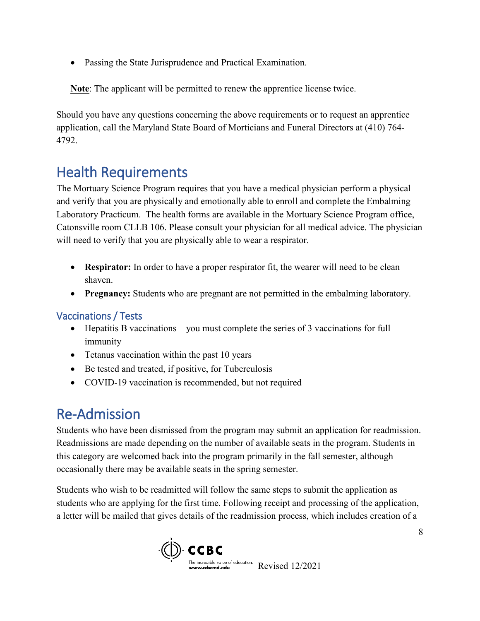• Passing the State Jurisprudence and Practical Examination.

**Note**: The applicant will be permitted to renew the apprentice license twice.

Should you have any questions concerning the above requirements or to request an apprentice application, call the Maryland State Board of Morticians and Funeral Directors at (410) 764- 4792.

## Health Requirements

The Mortuary Science Program requires that you have a medical physician perform a physical and verify that you are physically and emotionally able to enroll and complete the Embalming Laboratory Practicum. The health forms are available in the Mortuary Science Program office, Catonsville room CLLB 106. Please consult your physician for all medical advice. The physician will need to verify that you are physically able to wear a respirator.

- **Respirator:** In order to have a proper respirator fit, the wearer will need to be clean shaven.
- **Pregnancy:** Students who are pregnant are not permitted in the embalming laboratory.

### Vaccinations / Tests

- Hepatitis B vaccinations you must complete the series of 3 vaccinations for full immunity
- Tetanus vaccination within the past 10 years
- Be tested and treated, if positive, for Tuberculosis
- COVID-19 vaccination is recommended, but not required

## Re-Admission

Students who have been dismissed from the program may submit an application for readmission. Readmissions are made depending on the number of available seats in the program. Students in this category are welcomed back into the program primarily in the fall semester, although occasionally there may be available seats in the spring semester.

Students who wish to be readmitted will follow the same steps to submit the application as students who are applying for the first time. Following receipt and processing of the application, a letter will be mailed that gives details of the readmission process, which includes creation of a